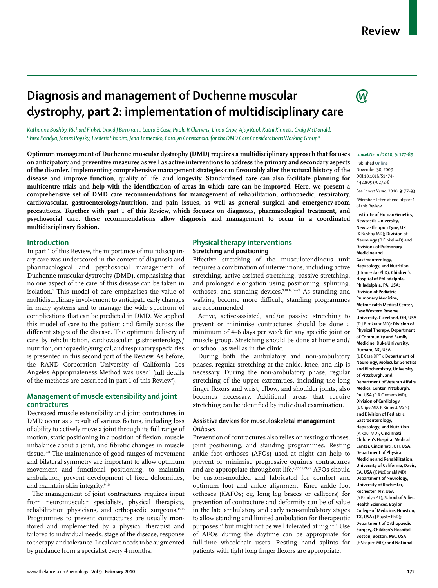# **Diagnosis and management of Duchenne muscular dystrophy, part 2: implementation of multidisciplinary care**

*Katharine Bushby, Richard Finkel, David J Birnkrant, Laura E Case, Paula R Clemens, Linda Cripe, Ajay Kaul, Kathi Kinnett, Craig McDonald, Shree Pandya, James Poysky, Frederic Shapiro, Jean Tomezsko, Carolyn Constantin, for the DMD Care Considerations Working Group\**

**Optimum management of Duchenne muscular dystrophy (DMD) requires a multidisciplinary approach that focuses on anticipatory and preventive measures as well as active interventions to address the primary and secondary aspects of the disorder. Implementing comprehensive management strategies can favourably alter the natural history of the disease and improve function, quality of life, and longevity. Standardised care can also facilitate planning for**  multicentre trials and help with the identification of areas in which care can be improved. Here, we present a **comprehensive set of DMD care recommendations for management of rehabilitation, orthopaedic, respiratory, cardiovascular, gastroenterology/nutrition, and pain issues, as well as general surgical and emergency-room precautions. Together with part 1 of this Review, which focuses on diagnosis, pharmacological treatment, and psychosocial care, these recommendations allow diagnosis and management to occur in a coordinated multidisciplinary fashion.** 

#### **Introduction**

In part 1 of this Review, the importance of multidisciplinary care was underscored in the context of diagnosis and pharmacological and psychosocial management of Duchenne muscular dystrophy (DMD), emphasising that no one aspect of the care of this disease can be taken in isolation.1 This model of care emphasises the value of multidisciplinary involvement to anticipate early changes in many systems and to manage the wide spectrum of complications that can be predicted in DMD. We applied this model of care to the patient and family across the different stages of the disease. The optimum delivery of care by rehabilitation, cardiovascular, gastroenterology/ nutrition, orthopaedic/surgical, and respiratory specialties is presented in this second part of the Review. As before, the RAND Corporation–University of California Los Angeles Appropriateness Method was used<sup>2</sup> (full details of the methods are described in part 1 of this Review').

# **Management of muscle extensibility and joint contractures**

Decreased muscle extensibility and joint contractures in DMD occur as a result of various factors, including loss of ability to actively move a joint through its full range of motion, static positioning in a position of flexion, muscle imbalance about a joint, and fibrotic changes in muscle tissue.<sup>3-8</sup> The maintenance of good ranges of movement and bilateral symmetry are important to allow optimum movement and functional positioning, to maintain ambulation, prevent development of fixed deformities, and maintain skin integrity.<sup>9-14</sup>

The management of joint contractures requires input from neuromuscular specialists, physical therapists, rehabilitation physicians, and orthopaedic surgeons.15,16 Programmes to prevent contractures are usually monitored and implemented by a physical therapist and tailored to individual needs, stage of the disease, response to therapy, and tolerance. Local care needs to be augmented by guidance from a specialist every 4 months.

# **Physical therapy interventions Stretching and positioning**

Effective stretching of the musculotendinous unit requires a combination of interventions, including active stretching, active-assisted stretching, passive stretching, and prolonged elongation using positioning, splinting, orthoses, and standing devices.9,10,12,17–20 As standing and walking become more difficult, standing programmes are recommended.

Active, active-assisted, and/or passive stretching to prevent or minimise contractures should be done a minimum of 4–6 days per week for any specific joint or muscle group. Stretching should be done at home and/ or school, as well as in the clinic.

During both the ambulatory and non-ambulatory phases, regular stretching at the ankle, knee, and hip is necessary. During the non-ambulatory phase, regular stretching of the upper extremities, including the long finger flexors and wrist, elbow, and shoulder joints, also becomes necessary. Additional areas that require stretching can be identified by individual examination.

# **Assistive devices for musculoskeletal management**  *Orthoses*

Prevention of contractures also relies on resting orthoses, joint positioning, and standing programmes. Resting ankle–foot orthoses (AFOs) used at night can help to prevent or minimise progressive equinus contractures and are appropriate throughout life.<sup>6,17-19,21,22</sup> AFOs should be custom-moulded and fabricated for comfort and optimum foot and ankle alignment. Knee–ankle–foot orthoses (KAFOs; eg, long leg braces or callipers) for prevention of contracture and deformity can be of value in the late ambulatory and early non-ambulatory stages to allow standing and limited ambulation for therapeutic purposes,<sup>23</sup> but might not be well tolerated at night.<sup>6</sup> Use of AFOs during the daytime can be appropriate for full-time wheelchair users. Resting hand splints for patients with tight long finger flexors are appropriate.



#### *Lancet Neurol* **2010; 9: 177–89**

Published **Online** November 30, 2009 DOI:10.1016/S1474- 4422(09)70272-8

See *Lancet Neurol* 2010; **9:** 77–93 \*Members listed at end of part 1 of this Review

**Institute of Human Genetics, Newcastle University, Newcastle upon Tyne, UK** (K Bushby MD)**; Division of Neurology** (R Finkel MD) **and Divisions of Pulmonary Medicine and Gastroenterology, Hepatology, and Nutrition**  (J Tomezsko PhD)**, Children's Hospital of Philadelphia, Philadelphia, PA, USA; Division of Pediatric Pulmonary Medicine, MetroHealth Medical Center, Case Western Reserve University, Cleveland, OH, USA**  (D J Birnkrant MD)**; Division of Physical Therapy, Department of Community and Family Medicine, Duke University, Durham, NC, USA**  (L E Case DPT)**; Department of Neurology, Molecular Genetics and Biochemistry, University of Pittsburgh, and Department of Veteran Affairs Medical Center, Pittsburgh, PA, USA** (P R Clemens MD)**; Division of Cardiology**  (L Cripe MD, K Kinnett MSN) **and Division of Pediatric Gastroenterology, Hepatology, and Nutrition** (A Kaul MD)**, Cincinnati Children's Hospital Medical Center, Cincinnati, OH, USA; Department of Physical Medicine and Rehabilitation, University of California, Davis, CA, USA** (C McDonald MD)**; Department of Neurology, University of Rochester, Rochester, NY, USA** (S Pandya PT)**; School of Allied Health Sciences, Baylor College of Medicine, Houston, TX, USA** (J Poysky PhD)**; Department of Orthopaedic Surgery, Children's Hospital Boston, Boston, MA, USA** (F Shapiro MD)**; and National**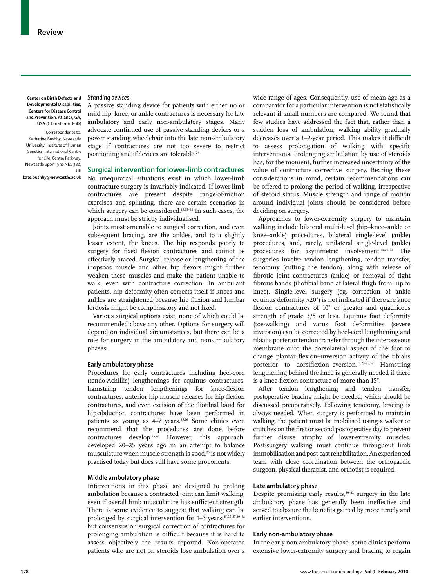**Center on Birth Defects and Developmental Disabilities, Centers for Disease Control and Prevention, Atlanta, GA, USA** (C Constantin PhD)

Correspondence to: Katharine Bushby, Newcastle University, Institute of Human Genetics, International Centre for Life, Centre Parkway, Newcastle upon Tyne NE1 3BZ, UK

**kate.bushby@newcastle.ac.uk**

*Standing devices*

A passive standing device for patients with either no or mild hip, knee, or ankle contractures is necessary for late ambulatory and early non-ambulatory stages. Many advocate continued use of passive standing devices or a power standing wheelchair into the late non-ambulatory stage if contractures are not too severe to restrict positioning and if devices are tolerable.<sup>24</sup>

# **Surgical intervention for lower-limb contractures**

No unequivocal situations exist in which lower-limb contracture surgery is invariably indicated. If lower-limb contractures are present despite range-of-motion exercises and splinting, there are certain scenarios in which surgery can be considered.<sup>15,25-32</sup> In such cases, the approach must be strictly individualised.

Joints most amenable to surgical correction, and even subsequent bracing, are the ankles, and to a slightly lesser extent, the knees. The hip responds poorly to surgery for fixed flexion contractures and cannot be effectively braced. Surgical release or lengthening of the iliopsoas muscle and other hip flexors might further weaken these muscles and make the patient unable to walk, even with contracture correction. In ambulant patients, hip deformity often corrects itself if knees and ankles are straightened because hip flexion and lumbar lordosis might be compensatory and not fixed.

Various surgical options exist, none of which could be recommended above any other. Options for surgery will depend on individual circumstances, but there can be a role for surgery in the ambulatory and non-ambulatory phases.

#### **Early ambulatory phase**

Procedures for early contractures including heel-cord (tendo-Achillis) lengthenings for equinus contractures, hamstring tendon lengthenings for knee-flexion contractures, anterior hip-muscle releases for hip-flexion contractures, and even excision of the iliotibial band for hip-abduction contractures have been performed in patients as young as 4–7 years.<sup>25,26</sup> Some clinics even recommend that the procedures are done before contractures develop.25,26 However, this approach, developed 20–25 years ago in an attempt to balance musculature when muscle strength is good,<sup>25</sup> is not widely practised today but does still have some proponents.

# **Middle ambulatory phase**

Interventions in this phase are designed to prolong ambulation because a contracted joint can limit walking, even if overall limb musculature has sufficient strength. There is some evidence to suggest that walking can be prolonged by surgical intervention for 1–3 years,<sup>15,25–27,30–32</sup> but consensus on surgical correction of contractures for prolonging ambulation is difficult because it is hard to assess objectively the results reported. Non-operated patients who are not on steroids lose ambulation over a wide range of ages. Consequently, use of mean age as a comparator for a particular intervention is not statistically relevant if small numbers are compared. We found that few studies have addressed the fact that, rather than a sudden loss of ambulation, walking ability gradually decreases over a 1-2-year period. This makes it difficult to assess prolongation of walking with specific interventions. Prolonging ambulation by use of steroids has, for the moment, further increased uncertainty of the value of contracture corrective surgery. Bearing these considerations in mind, certain recommendations can be offered to prolong the period of walking, irrespective of steroid status. Muscle strength and range of motion around individual joints should be considered before deciding on surgery.

Approaches to lower-extremity surgery to maintain walking include bilateral multi-level (hip–knee–ankle or knee–ankle) procedures, bilateral single-level (ankle) procedures, and, rarely, unilateral single-level (ankle) procedures for asymmetric involvement.15,25–32 The surgeries involve tendon lengthening, tendon transfer, tenotomy (cutting the tendon), along with release of fibrotic joint contractures (ankle) or removal of tight fibrous bands (iliotibial band at lateral thigh from hip to knee). Single-level surgery (eg, correction of ankle equinus deformity >20°) is not indicated if there are knee flexion contractures of  $10^{\circ}$  or greater and quadriceps strength of grade 3/5 or less. Equinus foot deformity (toe-walking) and varus foot deformities (severe inversion) can be corrected by heel-cord lengthening and tibialis posterior tendon transfer through the interosseous membrane onto the dorsolateral aspect of the foot to change plantar flexion–inversion activity of the tibialis posterior to dorsiflexion–eversion.<sup>15,27–29,32</sup> Hamstring lengthening behind the knee is generally needed if there is a knee-flexion contracture of more than 15°.

After tendon lengthening and tendon transfer, postoperative bracing might be needed, which should be discussed preoperatively. Following tenotomy, bracing is always needed. When surgery is performed to maintain walking, the patient must be mobilised using a walker or crutches on the first or second postoperative day to prevent further disuse atrophy of lower-extremity muscles. Post-surgery walking must continue throughout limb immobilisation and post-cast rehabilitation. An experienced team with close coordination between the orthopaedic surgeon, physical therapist, and orthotist is required.

# **Late ambulatory phase**

Despite promising early results, $30-32$  surgery in the late ambulatory phase has generally been ineffective and served to obscure the benefits gained by more timely and earlier interventions.

#### **Early non-ambulatory phase**

In the early non-ambulatory phase, some clinics perform extensive lower-extremity surgery and bracing to regain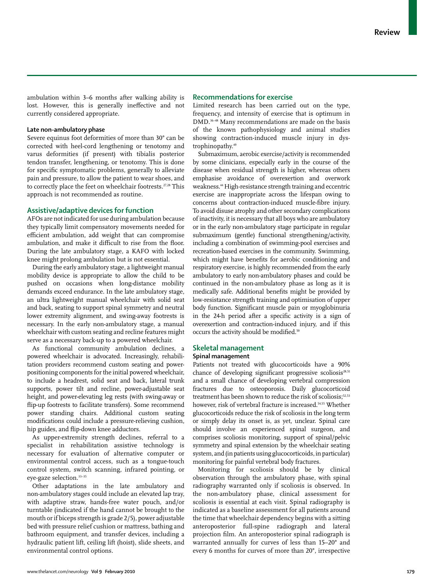ambulation within 3–6 months after walking ability is lost. However, this is generally ineffective and not currently considered appropriate.

# **Late non-ambulatory phase**

Severe equinus foot deformities of more than 30° can be corrected with heel-cord lengthening or tenotomy and varus deformities (if present) with tibialis posterior tendon transfer, lengthening, or tenotomy. This is done for specific symptomatic problems, generally to alleviate pain and pressure, to allow the patient to wear shoes, and to correctly place the feet on wheelchair footrests.<sup>27,28</sup> This approach is not recommended as routine.

# **Assistive/adaptive devices for function**

AFOs are not indicated for use during ambulation because they typically limit compensatory movements needed for efficient ambulation, add weight that can compromise ambulation, and make it difficult to rise from the floor. During the late ambulatory stage, a KAFO with locked knee might prolong ambulation but is not essential.

During the early ambulatory stage, a lightweight manual mobility device is appropriate to allow the child to be pushed on occasions when long-distance mobility demands exceed endurance. In the late ambulatory stage, an ultra lightweight manual wheelchair with solid seat and back, seating to support spinal symmetry and neutral lower extremity alignment, and swing-away footrests is necessary. In the early non-ambulatory stage, a manual wheelchair with custom seating and recline features might serve as a necessary back-up to a powered wheelchair.

As functional community ambulation declines, a powered wheelchair is advocated. Increasingly, rehabilitation providers recommend custom seating and powerpositioning components for the initial powered wheelchair, to include a headrest, solid seat and back, lateral trunk supports, power tilt and recline, power-adjustable seat height, and power-elevating leg rests (with swing-away or flip-up footrests to facilitate transfers). Some recommend power standing chairs. Additional custom seating modifications could include a pressure-relieving cushion, hip guides, and flip-down knee adductors.

As upper-extremity strength declines, referral to a specialist in rehabilitation assistive technology is necessary for evaluation of alternative computer or environmental control access, such as a tongue-touch control system, switch scanning, infrared pointing, or eye-gaze selection.33–35

Other adaptations in the late ambulatory and non-ambulatory stages could include an elevated lap tray, with adaptive straw, hands-free water pouch, and/or turntable (indicated if the hand cannot be brought to the mouth or if biceps strength is grade 2/5), power adjustable bed with pressure relief cushion or mattress, bathing and bathroom equipment, and transfer devices, including a hydraulic patient lift, ceiling lift (hoist), slide sheets, and environmental control options.

#### **Recommendations for exercise**

Limited research has been carried out on the type, frequency, and intensity of exercise that is optimum in DMD.36–48 Many recommendations are made on the basis of the known pathophysiology and animal studies showing contraction-induced muscle injury in dystrophinopathy.<sup>49</sup>

Submaximum, aerobic exercise/activity is recommended by some clinicians, especially early in the course of the disease when residual strength is higher, whereas others emphasise avoidance of overexertion and overwork weakness.44 High-resistance strength training and eccentric exercise are inappropriate across the lifespan owing to concerns about contraction-induced muscle-fibre injury. To avoid disuse atrophy and other secondary complications of inactivity, it is necessary that all boys who are ambulatory or in the early non-ambulatory stage participate in regular submaximum (gentle) functional strengthening/activity, including a combination of swimming-pool exercises and recreation-based exercises in the community. Swimming, which might have benefits for aerobic conditioning and respiratory exercise, is highly recommended from the early ambulatory to early non-ambulatory phases and could be continued in the non-ambulatory phase as long as it is medically safe. Additional benefits might be provided by low-resistance strength training and optimisation of upper body function. Significant muscle pain or myoglobinuria in the 24-h period after a specific activity is a sign of overexertion and contraction-induced injury, and if this occurs the activity should be modified.<sup>50</sup>

#### **Skeletal management**

#### **Spinal management**

Patients not treated with glucocorticoids have a 90% chance of developing significant progressive scoliosis $28,51$ and a small chance of developing vertebral compression fractures due to osteoporosis. Daily glucocorticoid treatment has been shown to reduce the risk of scoliosis;<sup>52,53</sup> however, risk of vertebral fracture is increased.<sup>54,55</sup> Whether glucocorticoids reduce the risk of scoliosis in the long term or simply delay its onset is, as yet, unclear. Spinal care should involve an experienced spinal surgeon, and comprises scoliosis monitoring, support of spinal/pelvic symmetry and spinal extension by the wheelchair seating system, and (in patients using glucocorticoids, in particular) monitoring for painful vertebral body fractures.

Monitoring for scoliosis should be by clinical observation through the ambulatory phase, with spinal radiography warranted only if scoliosis is observed. In the non-ambulatory phase, clinical assessment for scoliosis is essential at each visit. Spinal radiography is indicated as a baseline assessment for all patients around the time that wheelchair dependency begins with a sitting anteroposterior full-spine radiograph and lateral projection film. An anteroposterior spinal radiograph is warranted annually for curves of less than 15–20° and every 6 months for curves of more than 20°, irrespective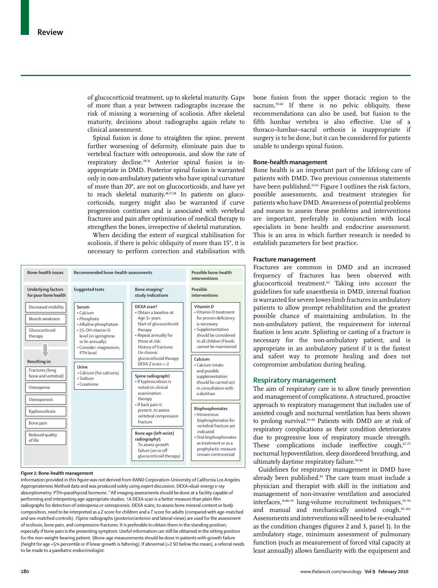of glucocorticoid treatment, up to skeletal maturity. Gaps of more than a year between radiographs increase the risk of missing a worsening of scoliosis. After skeletal maturity, decisions about radiographs again relate to clinical assessment.

Spinal fusion is done to straighten the spine, prevent further worsening of deformity, eliminate pain due to vertebral fracture with osteoporosis, and slow the rate of respiratory decline.28,56 Anterior spinal fusion is inappropriate in DMD. Posterior spinal fusion is warranted only in non-ambulatory patients who have spinal curvature of more than 20°, are not on glucocorticoids, and have yet to reach skeletal maturity.<sup>28,57,58</sup> In patients on glucocorticoids, surgery might also be warranted if curve progression continues and is associated with vertebral fractures and pain after optimisation of medical therapy to strengthen the bones, irrespective of skeletal maturation.

When deciding the extent of surgical stabilisation for scoliosis, if there is pelvic obliquity of more than 15°, it is necessary to perform correction and stabilisation with



#### *Figure 1:* **Bone-health management**

Information provided in this figure was not derived from RAND Corporation-University of California Los Angeles Appropriateness Method data and was produced solely using expert discussion. DEXA=dual-energy x-ray absorptiometry. PTH=parathyroid hormone. \*All imaging assessments should be done at a facility capable of performing and interpreting age-appropriate studies. †A DEXA scan is a better measure than plain film radiographs for detection of osteopenia or osteoporosis. DEXA scans, to assess bone mineral content or body composition, need to be interpreted as a *Z* score for children and a *T* score for adults (compared with age-matched and sex-matched controls). ‡Spine radiographs (posterior/anterior and lateral views) are used for the assessment of scoliosis, bone pain, and compression fractures. It is preferable to obtain them in the standing position, especially if bone pain is the presenting symptom. Useful information can still be obtained in the sitting position for the non-weight-bearing patient. §Bone-age measurements should be done in patients with growth failure (height for age <5% percentile or if linear growth is faltering). If abnormal (>2 SD below the mean), a referral needs to be made to a paediatric endocrinologist.

bone fusion from the upper thoracic region to the sacrum.<sup>59,60</sup> If there is no pelvic obliquity, these recommendations can also be used, but fusion to the fifth lumbar vertebra is also effective. Use of a thoraco–lumbar–sacral orthosis is inappropriate if surgery is to be done, but it can be considered for patients unable to undergo spinal fusion.

#### **Bone-health management**

Bone health is an important part of the lifelong care of patients with DMD. Two previous consensus statements have been published.<sup>61,62</sup> Figure 1 outlines the risk factors, possible assessments, and treatment strategies for patients who have DMD. Awareness of potential problems and means to assess these problems and interventions are important, preferably in conjunction with local specialists in bone health and endocrine assessment. This is an area in which further research is needed to establish parameters for best practice.

#### **Fracture management**

Fractures are common in DMD and an increased frequency of fractures has been observed with glucocorticoid treatment.63 Taking into account the guidelines for safe anaesthesia in DMD, internal fixation is warranted for severe lower-limb fractures in ambulatory patients to allow prompt rehabilitation and the greatest possible chance of maintaining ambulation. In the non-ambulatory patient, the requirement for internal fixation is less acute. Splinting or casting of a fracture is necessary for the non-ambulatory patient, and is appropriate in an ambulatory patient if it is the fastest and safest way to promote healing and does not compromise ambulation during healing.

#### **Respiratory management**

The aim of respiratory care is to allow timely prevention and management of complications. A structured, proactive approach to respiratory management that includes use of assisted cough and nocturnal ventilation has been shown to prolong survival.<sup>64-66</sup> Patients with DMD are at risk of respiratory complications as their condition deteriorates due to progressive loss of respiratory muscle strength. These complications include ineffective cough, $67-75$ nocturnal hypoventilation, sleep disordered breathing, and ultimately daytime respiratory failure.<sup>76-84</sup>

Guidelines for respiratory management in DMD have already been published.<sup>85</sup> The care team must include a physician and therapist with skill in the initiation and management of non-invasive ventilation and associated interfaces,<sup>36,86-91</sup> lung-volume recruitment techniques,<sup>92-94</sup> and manual and mechanically assisted cough.<sup>95-102</sup> Assessments and interventions will need to be re-evaluated as the condition changes (figures 2 and 3, panel 1). In the ambulatory stage, minimum assessment of pulmonary function (such as measurement of forced vital capacity at least annually) allows familiarity with the equipment and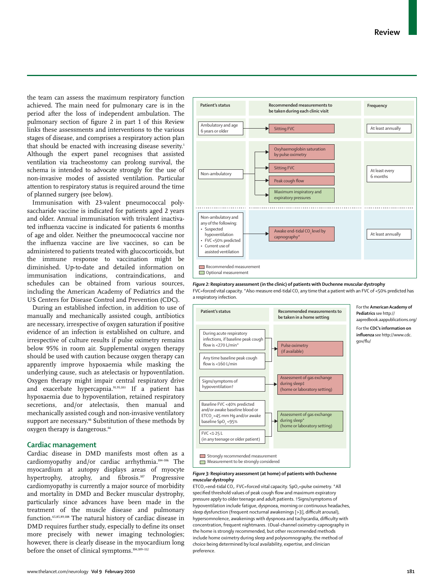the team can assess the maximum respiratory function achieved. The main need for pulmonary care is in the period after the loss of independent ambulation. The pulmonary section of figure 2 in part 1 of this Review links these assessments and interventions to the various stages of disease, and comprises a respiratory action plan that should be enacted with increasing disease severity.<sup>1</sup> Although the expert panel recognises that assisted ventilation via tracheostomy can prolong survival, the schema is intended to advocate strongly for the use of non-invasive modes of assisted ventilation. Particular attention to respiratory status is required around the time of planned surgery (see below).

Immunisation with 23-valent pneumococcal polysaccharide vaccine is indicated for patients aged 2 years and older. Annual immunisation with trivalent inactivated influenza vaccine is indicated for patients 6 months of age and older. Neither the pneumococcal vaccine nor the influenza vaccine are live vaccines, so can be administered to patients treated with glucocorticoids, but the immune response to vaccination might be diminished. Up-to-date and detailed information on immunisation indications, contraindications, and schedules can be obtained from various sources, including the American Academy of Pediatrics and the US Centers for Disease Control and Prevention (CDC).

During an established infection, in addition to use of manually and mechanically assisted cough, antibiotics are necessary, irrespective of oxygen saturation if positive evidence of an infection is established on culture, and irrespective of culture results if pulse oximetry remains below 95% in room air. Supplemental oxygen therapy should be used with caution because oxygen therapy can apparently improve hypoxaemia while masking the underlying cause, such as atelectasis or hypoventilation. Oxygen therapy might impair central respiratory drive and exacerbate hypercapnia.91,95,103 If a patient has hypoxaemia due to hypoventilation, retained respiratory secretions, and/or atelectasis, then manual and mechanically assisted cough and non-invasive ventilatory support are necessary.<sup>66</sup> Substitution of these methods by oxygen therapy is dangerous.<sup>66</sup>

#### **Cardiac management**

Cardiac disease in DMD manifests most often as a cardiomyopathy and/or cardiac arrhythmia.104–106 The myocardium at autopsy displays areas of myocyte hypertrophy, atrophy, and fibrosis.<sup>107</sup> Progressive cardiomyopathy is currently a major source of morbidity and mortality in DMD and Becker muscular dystrophy, particularly since advances have been made in the treatment of the muscle disease and pulmonary function.65,85,89,108 The natural history of cardiac disease in DMD requires further study, especially to define its onset more precisely with newer imaging technologies; however, there is clearly disease in the myocardium long before the onset of clinical symptoms.104,109–112



*Figure 2:* **Respiratory assessment (in the clinic) of patients with Duchenne muscular dystrophy**  FVC=forced vital capacity. \*Also measure end-tidal CO2 any time that a patient with an FVC of <50% predicted has a respiratory infection.



*Figure 3:* **Respiratory assessment (at home) of patients with Duchenne muscular dystrophy**

ETCO<sub>2</sub>=end-tidal CO<sub>2</sub>. FVC=forced vital capacity. SpO<sub>2</sub>=pulse oximetry. \*All specified threshold values of peak cough flow and maximum expiratory pressure apply to older teenage and adult patients. †Signs/symptoms of hypoventilation include fatigue, dyspnoea, morning or continuous headaches,  $s$ leep dysfunction (frequent nocturnal awakenings [>3], difficult arousal), hypersomnolence, awakenings with dyspnoea and tachycardia, difficulty with concentration, frequent nightmares. ‡Dual-channel oximetry-capnography in the home is strongly recommended, but other recommended methods include home oximetry during sleep and polysomnography, the method of choice being determined by local availability, expertise, and clinician preference.

**Pediatrics** see http:// aapredbook.aappublications.org/ For the **CDC's information on infl uenza** see http://www.cdc. gov/flu/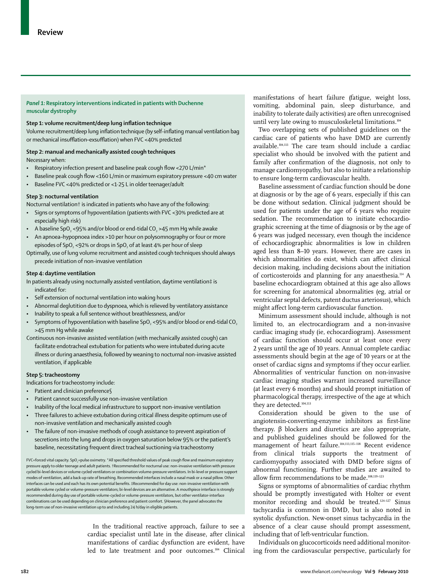#### *Panel 1:* **Respiratory interventions indicated in patients with Duchenne muscular dystrophy**

#### Step 1: volume recruitment/deep lung inflation technique

Volume recruitment/deep lung inflation technique (by self-inflating manual ventilation bag or mechanical insufflation-exsufflation) when FVC <40% predicted

# **Step 2: manual and mechanically assisted cough techniques**

Necessary when:

- Respiratory infection present and baseline peak cough flow <270 L/min\*
- Baseline peak cough flow <160 L/min or maximum expiratory pressure <40 cm water
- Baseline FVC <40% predicted or <1·25 L in older teenager/adult

#### **Step 3: nocturnal ventilation**

Nocturnal ventilation† is indicated in patients who have any of the following:

- Signs or symptoms of hypoventilation (patients with FVC <30% predicted are at especially high risk)
- A baseline SpO<sub>2</sub> < 95% and/or blood or end-tidal CO<sub>2</sub> > 45 mm Hg while awake
- An apnoea–hypopnoea index >10 per hour on polysomnography or four or more episodes of SpO<sub>2</sub> <92% or drops in SpO<sub>2</sub> of at least 4% per hour of sleep
- Optimally, use of lung volume recruitment and assisted cough techniques should always precede initiation of non-invasive ventilation

# **Step 4: daytime ventilation**

- In patients already using nocturnally assisted ventilation, daytime ventilation‡ is indicated for:
- Self extension of nocturnal ventilation into waking hours
- Abnormal deglutition due to dyspnoea, which is relieved by ventilatory assistance
- Inability to speak a full sentence without breathlessness, and/or
- Symptoms of hypoventilation with baseline SpO<sub>2</sub> <95% and/or blood or end-tidal CO<sub>2</sub> >45 mm Hg while awake
- Continuous non-invasive assisted ventilation (with mechanically assisted cough) can facilitate endotracheal extubation for patients who were intubated during acute illness or during anaesthesia, followed by weaning to nocturnal non-invasive assisted ventilation, if applicable

#### **Step 5: tracheostomy**

Indications for tracheostomy include:

- Patient and clinician preference§
- Patient cannot successfully use non-invasive ventilation
- Inability of the local medical infrastructure to support non-invasive ventilation
- Three failures to achieve extubation during critical illness despite optimum use of non-invasive ventilation and mechanically assisted cough
- The failure of non-invasive methods of cough assistance to prevent aspiration of secretions into the lung and drops in oxygen saturation below 95% or the patient's baseline, necessitating frequent direct tracheal suctioning via tracheostomy

FVC=forced vital capacity. SpO<sub>2</sub>=pulse oximetry. \*All specified threshold values of peak cough flow and maximum expiratory pressure apply to older teenage and adult patients. †Recommended for nocturnal use: non-invasive ventilation with pressure cycled bi-level devices or volume cycled ventilators or combination volume-pressure ventilators. In bi-level or pressure support modes of ventilation, add a back-up rate of breathing. Recommended interfaces include a nasal mask or a nasal pillow. Other interfaces can be used and each has its own potential benefits. ‡Recommended for day use: non-invasive ventilation with portable volume cycled or volume-pressure ventilators; bi-level devices are an alternative. A mouthpiece interface is strongly recommended during day use of portable volume-cycled or volume-pressure ventilators, but other ventilator-interface combinations can be used depending on clinician preference and patient comfort. §However, the panel advocates the long-term use of non-invasive ventilation up to and including 24 h/day in eligible patients.

> In the traditional reactive approach, failure to see a cardiac specialist until late in the disease, after clinical manifestations of cardiac dysfunction are evident, have led to late treatment and poor outcomes.104 Clinical

manifestations of heart failure (fatigue, weight loss, vomiting, abdominal pain, sleep disturbance, and inability to tolerate daily activities) are often unrecognised until very late owing to musculoskeletal limitations.<sup>104</sup>

Two overlapping sets of published guidelines on the cardiac care of patients who have DMD are currently available.104,113 The care team should include a cardiac specialist who should be involved with the patient and family after confirmation of the diagnosis, not only to manage cardiomyopathy, but also to initiate a relationship to ensure long-term cardiovascular health.

Baseline assessment of cardiac function should be done at diagnosis or by the age of 6 years, especially if this can be done without sedation. Clinical judgment should be used for patients under the age of 6 years who require sedation. The recommendation to initiate echocardiographic screening at the time of diagnosis or by the age of 6 years was judged necessary, even though the incidence of echocardiographic abnormalities is low in children aged less than 8–10 years. However, there are cases in which abnormalities do exist, which can affect clinical decision making, including decisions about the initiation of corticosteroids and planning for any anaesthesia.114 A baseline echocardiogram obtained at this age also allows for screening for anatomical abnormalities (eg, atrial or ventricular septal defects, patent ductus arteriosus), which might affect long-term cardiovascular function.

Minimum assessment should include, although is not limited to, an electrocardiogram and a non-invasive cardiac imaging study (ie, echocardiogram). Assessment of cardiac function should occur at least once every 2 years until the age of 10 years. Annual complete cardiac assessments should begin at the age of 10 years or at the onset of cardiac signs and symptoms if they occur earlier. Abnormalities of ventricular function on non-invasive cardiac imaging studies warrant increased surveillance (at least every 6 months) and should prompt initiation of pharmacological therapy, irrespective of the age at which they are detected.<sup>104,113</sup>

Consideration should be given to the use of angiotensin-converting-enzyme inhibitors as first-line therapy. β blockers and diuretics are also appropriate, and published guidelines should be followed for the management of heart failure.<sup>104,113,115-118</sup> Recent evidence from clinical trials supports the treatment of cardiomyopathy associated with DMD before signs of abnormal functioning. Further studies are awaited to allow firm recommendations to be made.<sup>108,119-123</sup>

Signs or symptoms of abnormalities of cardiac rhythm should be promptly investigated with Holter or event monitor recording and should be treated.124–127 Sinus tachycardia is common in DMD, but is also noted in systolic dysfunction. New-onset sinus tachycardia in the absence of a clear cause should prompt assessment, including that of left-ventricular function.

Individuals on glucocorticoids need additional monitoring from the cardiovascular perspective, particularly for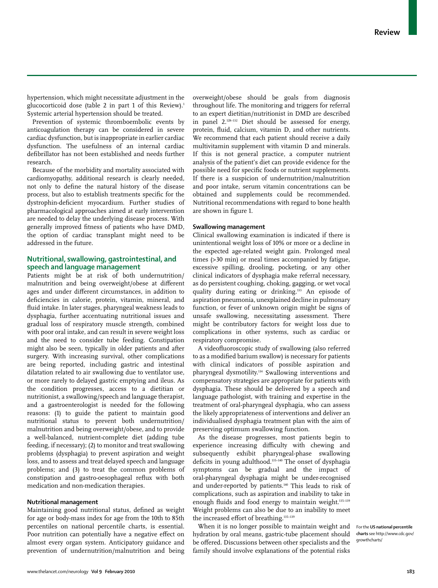hypertension, which might necessitate adjustment in the glucocorticoid dose (table 2 in part 1 of this Review).<sup>1</sup> Systemic arterial hypertension should be treated.

Prevention of systemic thromboembolic events by anticoagulation therapy can be considered in severe cardiac dysfunction, but is inappropriate in earlier cardiac dysfunction. The usefulness of an internal cardiac defibrillator has not been established and needs further research.

Because of the morbidity and mortality associated with cardiomyopathy, additional research is clearly needed, not only to define the natural history of the disease process, but also to establish treatments specific for the dystrophin-deficient myocardium. Further studies of pharmacological approaches aimed at early intervention are needed to delay the underlying disease process. With generally improved fitness of patients who have DMD, the option of cardiac transplant might need to be addressed in the future.

# **Nutritional, swallowing, gastrointestinal, and speech and language management**

Patients might be at risk of both undernutrition/ malnutrition and being overweight/obese at different ages and under different circumstances, in addition to deficiencies in calorie, protein, vitamin, mineral, and fluid intake. In later stages, pharyngeal weakness leads to dysphagia, further accentuating nutritional issues and gradual loss of respiratory muscle strength, combined with poor oral intake, and can result in severe weight loss and the need to consider tube feeding. Constipation might also be seen, typically in older patients and after surgery. With increasing survival, other complications are being reported, including gastric and intestinal dilatation related to air swallowing due to ventilator use, or more rarely to delayed gastric emptying and ileus. As the condition progresses, access to a dietitian or nutritionist, a swallowing/speech and language therapist, and a gastroenterologist is needed for the following reasons: (1) to guide the patient to maintain good nutritional status to prevent both undernutrition/ malnutrition and being overweight/obese, and to provide a well-balanced, nutrient-complete diet (adding tube feeding, if necessary); (2) to monitor and treat swallowing problems (dysphagia) to prevent aspiration and weight loss, and to assess and treat delayed speech and language problems; and (3) to treat the common problems of constipation and gastro-oesophageal reflux with both medication and non-medication therapies.

#### **Nutritional management**

Maintaining good nutritional status, defined as weight for age or body-mass index for age from the 10th to 85th percentiles on national percentile charts, is essential. Poor nutrition can potentially have a negative effect on almost every organ system. Anticipatory guidance and prevention of undernutrition/malnutrition and being overweight/obese should be goals from diagnosis throughout life. The monitoring and triggers for referral to an expert dietitian/nutritionist in DMD are described in panel 2.128–132 Diet should be assessed for energy, protein, fluid, calcium, vitamin D, and other nutrients. We recommend that each patient should receive a daily multivitamin supplement with vitamin D and minerals. If this is not general practice, a computer nutrient analysis of the patient's diet can provide evidence for the possible need for specific foods or nutrient supplements. If there is a suspicion of undernutrition/malnutrition and poor intake, serum vitamin concentrations can be obtained and supplements could be recommended. Nutritional recommendations with regard to bone health are shown in figure 1.

#### **Swallowing management**

Clinical swallowing examination is indicated if there is unintentional weight loss of 10% or more or a decline in the expected age-related weight gain. Prolonged meal times (>30 min) or meal times accompanied by fatigue, excessive spilling, drooling, pocketing, or any other clinical indicators of dysphagia make referral necessary, as do persistent coughing, choking, gagging, or wet vocal quality during eating or drinking.133 An episode of aspiration pneumonia, unexplained decline in pulmonary function, or fever of unknown origin might be signs of unsafe swallowing, necessitating assessment. There might be contributory factors for weight loss due to complications in other systems, such as cardiac or respiratory compromise.

A videofluoroscopic study of swallowing (also referred to as a modified barium swallow) is necessary for patients with clinical indicators of possible aspiration and pharyngeal dysmotility.134 Swallowing interventions and compensatory strategies are appropriate for patients with dysphagia. These should be delivered by a speech and language pathologist, with training and expertise in the treatment of oral-pharyngeal dysphagia, who can assess the likely appropriateness of interventions and deliver an individualised dysphagia treatment plan with the aim of preserving optimum swallowing function.

As the disease progresses, most patients begin to experience increasing difficulty with chewing and subsequently exhibit pharyngeal-phase swallowing deficits in young adulthood.<sup>135-140</sup> The onset of dysphagia symptoms can be gradual and the impact of oral-pharyngeal dysphagia might be under-recognised and under-reported by patients.<sup>140</sup> This leads to risk of complications, such as aspiration and inability to take in enough fluids and food energy to maintain weight.<sup>135-139</sup> Weight problems can also be due to an inability to meet the increased effort of breathing.<sup>135-139</sup>

When it is no longer possible to maintain weight and hydration by oral means, gastric-tube placement should be offered. Discussions between other specialists and the family should involve explanations of the potential risks

For the **US national percentile charts** see http://www.cdc.gov/ growthcharts/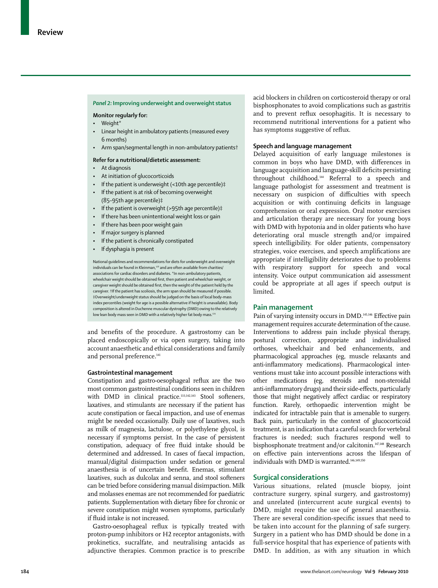#### *Panel 2:* **Improving underweight and overweight status**

# **Monitor regularly for:**

- Weight\*
- Linear height in ambulatory patients (measured every 6 months)
- Arm span/segmental length in non-ambulatory patients†

#### **Refer for a nutritional/dietetic assessment:**

- At diagnosis
- At initiation of glucocorticoids
- If the patient is underweight (<10th age percentile)‡
- If the patient is at risk of becoming overweight (85–95th age percentile)‡
- If the patient is overweight (>95th age percentile)‡
- If there has been unintentional weight loss or gain
- If there has been poor weight gain
- If major surgery is planned
- If the patient is chronically constipated
- If dysphagia is present

National guidelines and recommendations for diets for underweight and overweight individuals can be found in Kleinman, $128$  and are often available from charities/ associations for cardiac disorders and diabetes. \*In non-ambulatory patients, wheelchair weight should be obtained first, then patient and wheelchair weight, or caregiver weight should be obtained first, then the weight of the patient held by the caregiver. †If the patient has scoliosis, the arm span should be measured if possible. ‡Overweight/underweight status should be judged on the basis of local body-mass index percentiles (weight for age is a possible alternative if height is unavailable). Body composition is altered in Duchenne muscular dystrophy (DMD) owing to the relatively low lean body mass seen in DMD with a relatively higher fat body mass.<sup>129</sup>

and benefits of the procedure. A gastrostomy can be placed endoscopically or via open surgery, taking into account anaesthetic and ethical considerations and family and personal preference.<sup>141</sup>

#### **Gastrointestinal management**

Constipation and gastro-oesophageal reflux are the two most common gastrointestinal conditions seen in children with DMD in clinical practice.<sup>133,142,143</sup> Stool softeners, laxatives, and stimulants are necessary if the patient has acute constipation or faecal impaction, and use of enemas might be needed occasionally. Daily use of laxatives, such as milk of magnesia, lactulose, or polyethylene glycol, is necessary if symptoms persist. In the case of persistent constipation, adequacy of free fluid intake should be determined and addressed. In cases of faecal impaction, manual/digital disimpaction under sedation or general anaesthesia is of uncertain benefit. Enemas, stimulant laxatives, such as dulcolax and senna, and stool softeners can be tried before considering manual disimpaction. Milk and molasses enemas are not recommended for paediatric patients. Supplementation with dietary fibre for chronic or severe constipation might worsen symptoms, particularly if fluid intake is not increased.

Gastro-oesophageal reflux is typically treated with proton-pump inhibitors or H2 receptor antagonists, with prokinetics, sucralfate, and neutralising antacids as adjunctive therapies. Common practice is to prescribe acid blockers in children on corticosteroid therapy or oral bisphosphonates to avoid complications such as gastritis and to prevent reflux oesophagitis. It is necessary to recommend nutritional interventions for a patient who has symptoms suggestive of reflux.

#### **Speech and language management**

Delayed acquisition of early language milestones is common in boys who have DMD, with differences in language acquisition and language-skill deficits persisting throughout childhood.144 Referral to a speech and language pathologist for assessment and treatment is necessary on suspicion of difficulties with speech acquisition or with continuing deficits in language comprehension or oral expression. Oral motor exercises and articulation therapy are necessary for young boys with DMD with hypotonia and in older patients who have deteriorating oral muscle strength and/or impaired speech intelligibility. For older patients, compensatory strategies, voice exercises, and speech amplifications are appropriate if intelligibility deteriorates due to problems with respiratory support for speech and vocal intensity. Voice output communication aid assessment could be appropriate at all ages if speech output is limited.

#### **Pain management**

Pain of varying intensity occurs in DMD.<sup>145,146</sup> Effective pain management requires accurate determination of the cause. Interventions to address pain include physical therapy, postural correction, appropriate and individualised orthoses, wheelchair and bed enhancements, and pharmacological approaches (eg, muscle relaxants and anti-inflammatory medications). Pharmacological interventions must take into account possible interactions with other medications (eg, steroids and non-steroidal anti-inflammatory drugs) and their side-effects, particularly those that might negatively affect cardiac or respiratory function. Rarely, orthopaedic intervention might be indicated for intractable pain that is amenable to surgery. Back pain, particularly in the context of glucocorticoid treatment, is an indication that a careful search for vertebral fractures is needed; such fractures respond well to bisphosphonate treatment and/or calcitonin.<sup>147,148</sup> Research on effective pain interventions across the lifespan of individuals with DMD is warranted.146,149,150

# **Surgical considerations**

Various situations, related (muscle biopsy, joint contracture surgery, spinal surgery, and gastrostomy) and unrelated (intercurrent acute surgical events) to DMD, might require the use of general anaesthesia. There are several condition-specific issues that need to be taken into account for the planning of safe surgery. Surgery in a patient who has DMD should be done in a full-service hospital that has experience of patients with DMD. In addition, as with any situation in which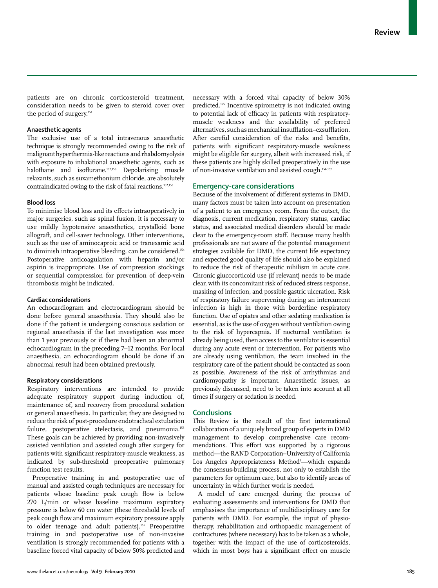patients are on chronic corticosteroid treatment, consideration needs to be given to steroid cover over the period of surgery.<sup>151</sup>

# **Anaesthetic agents**

The exclusive use of a total intravenous anaesthetic technique is strongly recommended owing to the risk of malignant hyperthermia-like reactions and rhabdomyolysis with exposure to inhalational anaesthetic agents, such as<br>halothane and isoflurane.<sup>152,153</sup> Depolarising muscle halothane and isoflurane.<sup>152,153</sup> relaxants, such as suxamethonium chloride, are absolutely contraindicated owing to the risk of fatal reactions.152,153

#### **Blood loss**

To minimise blood loss and its effects intraoperatively in major surgeries, such as spinal fusion, it is necessary to use mildly hypotensive anaesthetics, crystalloid bone allograft, and cell-saver technology. Other interventions, such as the use of aminocaproic acid or tranexamic acid to diminish intraoperative bleeding, can be considered.<sup>154</sup> Postoperative anticoagulation with heparin and/or aspirin is inappropriate. Use of compression stockings or sequential compression for prevention of deep-vein thrombosis might be indicated.

#### **Cardiac considerations**

An echocardiogram and electrocardiogram should be done before general anaesthesia. They should also be done if the patient is undergoing conscious sedation or regional anaesthesia if the last investigation was more than 1 year previously or if there had been an abnormal echocardiogram in the preceding 7–12 months. For local anaesthesia, an echocardiogram should be done if an abnormal result had been obtained previously.

#### **Respiratory considerations**

Respiratory interventions are intended to provide adequate respiratory support during induction of, maintenance of, and recovery from procedural sedation or general anaesthesia. In particular, they are designed to reduce the risk of post-procedure endotracheal extubation failure, postoperative atelectasis, and pneumonia.<sup>153</sup> These goals can be achieved by providing non-invasively assisted ventilation and assisted cough after surgery for patients with significant respiratory-muscle weakness, as indicated by sub-threshold preoperative pulmonary function test results.

Preoperative training in and postoperative use of manual and assisted cough techniques are necessary for patients whose baseline peak cough flow is below 270 L/min or whose baseline maximum expiratory pressure is below 60 cm water (these threshold levels of peak cough flow and maximum expiratory pressure apply to older teenage and adult patients).<sup>155</sup> Preoperative training in and postoperative use of non-invasive ventilation is strongly recommended for patients with a baseline forced vital capacity of below 50% predicted and necessary with a forced vital capacity of below 30% predicted.155 Incentive spirometry is not indicated owing to potential lack of efficacy in patients with respiratorymuscle weakness and the availability of preferred  $a$ lternatives, such as mechanical insufflation–exsufflation. After careful consideration of the risks and benefits, patients with significant respiratory-muscle weakness might be eligible for surgery, albeit with increased risk, if these patients are highly skilled preoperatively in the use of non-invasive ventilation and assisted cough.<sup>156,157</sup>

#### **Emergency-care considerations**

Because of the involvement of different systems in DMD, many factors must be taken into account on presentation of a patient to an emergency room. From the outset, the diagnosis, current medication, respiratory status, cardiac status, and associated medical disorders should be made clear to the emergency-room staff. Because many health professionals are not aware of the potential management strategies available for DMD, the current life expectancy and expected good quality of life should also be explained to reduce the risk of therapeutic nihilism in acute care. Chronic glucocorticoid use (if relevant) needs to be made clear, with its concomitant risk of reduced stress response, masking of infection, and possible gastric ulceration. Risk of respiratory failure supervening during an intercurrent infection is high in those with borderline respiratory function. Use of opiates and other sedating medication is essential, as is the use of oxygen without ventilation owing to the risk of hypercapnia. If nocturnal ventilation is already being used, then access to the ventilator is essential during any acute event or intervention. For patients who are already using ventilation, the team involved in the respiratory care of the patient should be contacted as soon as possible. Awareness of the risk of arrhythmias and cardiomyopathy is important. Anaesthetic issues, as previously discussed, need to be taken into account at all times if surgery or sedation is needed.

#### **Conclusions**

This Review is the result of the first international collaboration of a uniquely broad group of experts in DMD management to develop comprehensive care recommendations. This effort was supported by a rigorous method—the RAND Corporation–University of California Los Angeles Appropriateness Method<sup>2</sup>—which expands the consensus-building process, not only to establish the parameters for optimum care, but also to identify areas of uncertainty in which further work is needed.

A model of care emerged during the process of evaluating assessments and interventions for DMD that emphasises the importance of multidisciplinary care for patients with DMD. For example, the input of physiotherapy, rehabilitation and orthopaedic management of contractures (where necessary) has to be taken as a whole, together with the impact of the use of corticosteroids, which in most boys has a significant effect on muscle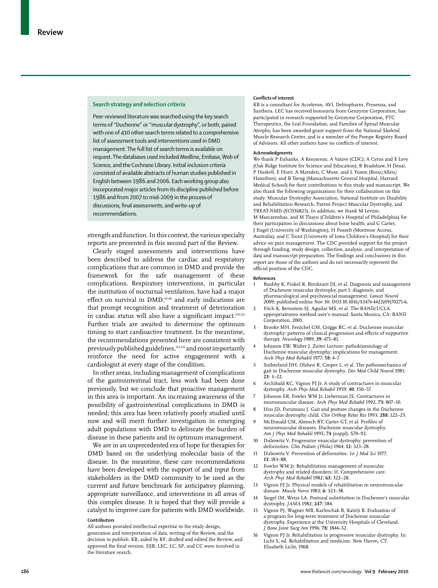# **Search strategy and selection criteria**

Peer-reviewed literature was searched using the key search terms of "Duchenne" or "muscular dystrophy", or both, paired with one of 410 other search terms related to a comprehensive list of assessment tools and interventions used in DMD management. The full list of search terms is available on request. The databases used included Medline, Embase, Web of Science, and the Cochrane Library. Initial inclusion criteria consisted of available abstracts of human studies published in English between 1986 and 2006. Each working group also incorporated major articles from its discipline published before 1986 and from 2007 to mid-2009 in the process of discussions, final assessments, and write-up of recommendations.

strength and function. In this context, the various specialty reports are presented in this second part of the Review.

Clearly staged assessments and interventions have been described to address the cardiac and respiratory complications that are common in DMD and provide the framework for the safe management of these complications. Respiratory interventions, in particular the institution of nocturnal ventilation, have had a major effect on survival in DMD,<sup>65,66</sup> and early indications are that prompt recognition and treatment of deterioration in cardiac status will also have a significant impact.<sup>119,121</sup> Further trials are awaited to determine the optimum timing to start cardioactive treatment. In the meantime, the recommendations presented here are consistent with previously published guidelines,<sup>113,115</sup> and most importantly reinforce the need for active engagement with a cardiologist at every stage of the condition.

In other areas, including management of complications of the gastrointestinal tract, less work had been done previously, but we conclude that proactive management in this area is important. An increasing awareness of the possibility of gastrointestinal complications in DMD is needed; this area has been relatively poorly studied until now and will merit further investigation in emerging adult populations with DMD to delineate the burden of disease in these patients and its optimum management.

We are in an unprecedented era of hope for therapies for DMD based on the underlying molecular basis of the disease. In the meantime, these care recommendations have been developed with the support of and input from stakeholders in the DMD community to be used as the current and future benchmark for anticipatory planning, appropriate surveillance, and interventions in all areas of this complex disease. It is hoped that they will provide a catalyst to improve care for patients with DMD worldwide.

#### **Contributors**

All authors provided intellectual expertise in the study design, generation and interpretation of data, writing of the Review, and the decision to publish. KB, aided by RF, drafted and edited the Review, and approved the final version. DJB, LEC, LC, SP, and CC were involved in the literature search.

#### **Conflicts of interest**

KB is a consultant for Acceleron, AVI, Debiopharm, Prosensa, and Santhera. LEC has received honoraria from Genzyme Corporation, has participated in research supported by Genzyme Corporation, PTC Therapeutics, the Leal Foundation, and Families of Spinal Muscular Atrophy, has been awarded grant support from the National Skeletal Muscle Research Center, and is a member of the Pompe Registry Board of Advisors. All other authors have no conflicts of interest.

#### **Acknowledgments**

We thank P Eubanks, A Kenneson, A Vatave (CDC); A Cyrus and E Levy (Oak Ridge Institute for Science and Education); B Bradshaw, H Desai, P Haskell, E Hunt, A Marsden, C Muse, and L Yuson (Booz/Allen/ Hamilton); and B Tseng (Massachusetts General Hospital, Harvard Medical School) for their contributions to this study and manuscript. We also thank the following organisations for their collaboration on this study: Muscular Dystrophy Association, National Institute on Disability and Rehabilitation Research, Parent Project Muscular Dystrophy, and TREAT-NMD (EC036825). In addition, we thank M Levine, M Mascarenhas, and M Thayu (Children's Hospital of Philadelphia) for their participation in discussions about bone health; and G Carter, J Engel (University of Washington), H Posselt (Montrose Access, Australia), and C Trout (University of Iowa Children's Hospital) for their advice on pain management. The CDC provided support for the project through funding, study design, collection, analysis, and interpretation of data and manuscript preparation. The findings and conclusions in this report are those of the authors and do not necessarily represent the official position of the CDC.

#### **References**

- Bushby K, Finkel R, Birnkrant DJ, et al. Diagnosis and management of Duchenne muscular dystrophy, part 1: diagnosis, and pharmacological and psychosocial management. *Lancet Neurol* 2009; published online Nov 30. DOI:10.1016/S1474-4422(09)70271-6.
- 2 Fitch K, Bernstein SJ, Aguilar MS, et al. The RAND/UCLA appropriateness method user's manual. Santa Monica, CA: RAND Corporation, 2001.
- 3 Brooke MH, Fenichel GM, Griggs RC, et al. Duchenne muscular dystrophy: patterns of clinical progression and effects of supportive therapy. *Neurology* 1989; **39:** 475–81.
- Johnson EW, Walter J. Zeiter Lecture: pathokinesiology of Duchenne muscular dystrophy: implications for management. *Arch Phys Med Rehabil* 1977; **58:** 4–7.
- 5 Sutherland DH, Olshen R, Cooper L, et al. The pathomechanics of gait in Duchenne muscular dystrophy. *Dev Med Child Neurol* 1981; **23:** 3–22.
- 6 Archibald KC, Vignos PJ Jr. A study of contractures in muscular dystrophy. *Arch Phys Med Rehabil* 1959; **40:** 150–57.
- 7 Johnson ER, Fowler WM Jr, Lieberman JS. Contractures in neuromuscular disease. *Arch Phys Med Rehabil* 1992; **73:** 807–10.
- Hsu JD, Furumasu J. Gait and posture changes in the Duchenne muscular dystrophy child. *Clin Orthop Relat Res* 1993; **288:** 122–25.
- McDonald CM, Abresch RT, Carter GT, et al. Profiles of neuromuscular diseases. Duchenne muscular dystrophy. *Am J Phys Med Rehabil* 1995; **74** (suppl)**:** S70–92.
- 10 Dubowitz V. Progressive muscular dystrophy: prevention of deformities. *Clin Pediatr (Phila)* 1964; **12:** 323–28.
- 11 Dubowitz V. Prevention of deformities. *Isr J Med Sci* 1977; **13:** 183–88.
- 12 Fowler WM Jr. Rehabilitation management of muscular dystrophy and related disorders: II. Comprehensive care. *Arch Phys Med Rehabil* 1982; **63:** 322–28.
- 13 Vignos PJ Jr. Physical models of rehabilitation in neuromuscular disease. *Muscle Nerve* 1983; **6:** 323–38.
- Siegel IM, Weiss LA. Postural substitution in Duchenne's muscular dystrophy. *JAMA* 1982; **247:** 584.
- 15 Vignos PJ, Wagner MB, Karlinchak B, Katirji B. Evaluation of a program for long-term treatment of Duchenne muscular dystrophy. Experience at the University Hospitals of Cleveland. *J Bone Joint Surg Am* 1996; **78:** 1844–52.
- Vignos PJ Jr. Rehabilitation in progressive muscular dystrophy. In: Licht S, ed. Rehabilitation and medicine. New Haven, CT: Elizabeth Licht, 1968.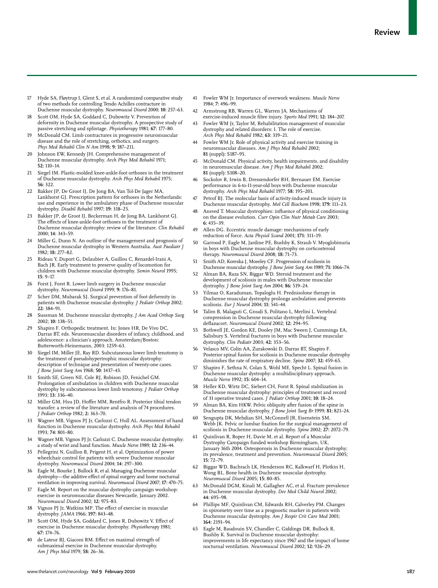- 17 Hyde SA, Fløytrup I, Glent S, et al. A randomized comparative study of two methods for controlling Tendo Achilles contracture in Duchenne muscular dystrophy. *Neuromuscul Disord* 2000; **10:** 257–63.
- Scott OM, Hyde SA, Goddard C, Dubowitz V. Prevention of deformity in Duchenne muscular dystrophy. A prospective study of passive stretching and splintage. *Physiotherapy* 1981; **67:** 177–80.
- 19 McDonald CM. Limb contractures in progressive neuromuscular disease and the role of stretching, orthotics, and surgery. *Phys Med Rehabil Clin N Am* 1998; **9:** 187–211.
- 20 Johnson EW, Kennedy JH. Comprehensive management of Duchenne muscular dystrophy. *Arch Phys Med Rehabil* 1971; **52:** 110–14.
- 21 Siegel IM. Plastic-molded knee-ankle-foot orthoses in the treatment of Duchenne muscular dystrophy. *Arch Phys Med Rehabil* 1975; **56:** 322.
- 22 Bakker JP, De Groot IJ, De Jong BA, Van Tol-De Jager MA, Lankhorst GJ. Prescription pattern for orthoses in the Netherlands: use and experience in the ambulatory phase of Duchenne muscular dystrophy. *Disabil Rehabil* 1997; **19:** 318–25.
- 23 Bakker JP, de Groot IJ, Beckerman H, de Jong BA, Lankhorst GJ. The effects of knee-ankle-foot orthoses in the treatment of Duchenne muscular dystrophy: review of the literature. *Clin Rehabil* 2000; **14:** 343–59.
- 24 Miller G, Dunn N. An outline of the management and prognosis of Duchenne muscular dystrophy in Western Australia. *Aust Paediatr J* 1982; **18:** 277–82.
- 25 Rideau Y, Duport G, Delaubier A, Guillou C, Renardel-Irani A, Bach JR. Early treatment to preserve quality of locomotion for children with Duchenne muscular dystrophy. *Semin Neurol* 1995; **15:** 9–17.
- 26 Forst J, Forst R. Lower limb surgery in Duchenne muscular dystrophy. *Neuromuscul Disord* 1999; **9:** 176–81.
- 27 Scher DM, Mubarak SJ. Surgical prevention of foot deformity in patients with Duchenne muscular dystrophy. *J Pediatr Orthop* 2002; **22:** 384–91.
- 28 Sussman M. Duchenne muscular dystrophy. *J Am Acad Orthop Surg* 2002; **10:** 138–51.
- 29 Shapiro F. Orthopedic treatment. In: Jones HR, De Vivo DC, Darras BT, eds. Neuromuscular disorders of infancy, childhood, and adolescence: a clinician's approach. Amsterdam/Boston: Butterworth-Heinemann, 2003: 1259–63.
- 30 Siegel IM, Miller JE, Ray RD. Subcutaneous lower limb tenotomy is the treatment of pseudohypertrophic muscular dystrophy: description of technique and presentation of twenty-one cases. *J Bone Joint Surg Am* 1968; **50:** 1437–43.
- 31 Smith SE, Green NE, Cole RJ, Robison JD, Fenichel GM. Prolongation of ambulation in children with Duchenne muscular dystrophy by subcutaneous lower limb tenotomy. *J Pediatr Orthop* 1993; **13:** 336–40.
- 32 Miller GM, Hsu JD, Hoffer MM, Rentfro R. Posterior tibial tendon transfer: a review of the literature and analysis of 74 procedures. *J Pediatr Orthop* 1982; **2:** 363–70.
- 33 Wagner MB, Vignos PJ Jr, Carlozzi C, Hull AL. Assessment of hand function in Duchenne muscular dystrophy. *Arch Phys Med Rehabil* 1993; **74:** 801–80.
- 34 Wagner MB, Vignos PJ Jr, Carlozzi C. Duchenne muscular dystrophy: a study of wrist and hand function. *Muscle Nerve* 1989; **12:** 236–44.
- 35 Pellegrini N, Guillon B, Prigent H, et al. Optimization of power wheelchair control for patients with severe Duchenne muscular dystrophy. *Neuromuscul Disord* 2004; **14:** 297–300.
- 36 Eagle M, Bourke J, Bullock R, et al. Managing Duchenne muscular dystrophy---the additive effect of spinal surgery and home nocturnal ventilation in improving survival. *Neuromuscul Disord* 2007; **17:** 470–75.
- Eagle M. Report on the muscular dystrophy campaign workshop: exercise in neuromuscular diseases Newcastle, January 2002. *Neuromuscul Disord* 2002; **12:** 975–83.
- 38 Vignos PJ Jr, Watkins MP. The effect of exercise in muscular dystrophy. *JAMA* 1966; **197:** 843–48.
- Scott OM, Hyde SA, Goddard C, Jones R, Dubowitz V. Effect of exercise in Duchenne muscular dystrophy. *Physiotherapy* 1981; **67:** 174–76.
- 40 de Lateur BJ, Giaconi RM. Effect on maximal strength of submaximal exercise in Duchenne muscular dystrophy. *Am J Phys Med* 1979; **58:** 26–36.
- 41 Fowler WM Jr. Importance of overwork weakness. *Muscle Nerve* 1984; **7:** 496–99.
- 42 Armstrong RB, Warren GL, Warren JA. Mechanisms of exercise-induced muscle fibre injury. Sports Med 1991; 12: 184-207.
- Fowler WM Jr, Taylor M, Rehabilitation management of muscular dystrophy and related disorders: I. The role of exercise. *Arch Phys Med Rehabil* 1982; **63:** 319–21.
- 44 Fowler WM Jr. Role of physical activity and exercise training in neuromuscular diseases. *Am J Phys Med Rehabil* 2002; **81** (suppl)**:** S187–95.
- McDonald CM. Physical activity, health impairments, and disability in neuromuscular disease. *Am J Phys Med Rehabil* 2002; **81** (suppl)**:** S108–20.
- 46 Sockolov R, Irwin B, Dressendorfer RH, Bernauer EM. Exercise performance in 6-to-11-year-old boys with Duchenne muscular dystrophy. *Arch Phys Med Rehabil* 1977; **58:** 195–201.
- 47 Petrof BJ. The molecular basis of activity-induced muscle injury in Duchenne muscular dystrophy. *Mol Cell Biochem* 1998; **179:** 111–23.
- Ansved T. Muscular dystrophies: influence of physical conditioning on the disease evolution. *Curr Opin Clin Nutr Metab Care* 2003; **6:** 435–39.
- 49 Allen DG. Eccentric muscle damage: mechanisms of early reduction of force. *Acta Physiol Scand* 2001; **171:** 311–19.
- 50 Garrood P, Eagle M, Jardine PE, Bushby K, Straub V. Myoglobinuria in boys with Duchenne muscular dystrophy on corticosteroid therapy. *Neuromuscul Disord* 2008; **18:** 71–73.
- 51 Smith AD, Koreska J, Moseley CF. Progression of scoliosis in Duchenne muscular dystrophy. *J Bone Joint Surg Am* 1989; **71:** 1066–74.
- Alman BA, Raza SN, Biggar WD. Steroid treatment and the development of scoliosis in males with Duchenne muscular dystrophy. *J Bone Joint Surg Am* 2004; **86:** 519–24.
- 53 Yilmaz O, Karaduman, Topaloglu H. Prednisolone therapy in Duchenne muscular dystrophy prolongs ambulation and prevents scoliosis. *Eur J Neurol* 2004; **11:** 541–44.
- 54 Talim B, Malaguti C, Gnudi S, Politano L, Merlini L. Vertebral compression in Duchenne muscular dystrophy following defl azacort. *Neuromuscul Disord* 2002; **12:** 294–95.
- 55 Bothwell JE, Gordon KE, Dooley JM, Mac Sween J, Cummings EA, Salisbury S. Vertebral fractures in boys with Duchenne muscular dystrophy. *Clin Pediatr* 2003; **42:** 353–56.
- 56 Velasco MV, Colin AA, Zurakowski D, Darras BT, Shapiro F. Posterior spinal fusion for scoliosis in Duchenne muscular dystrophy diminishes the rate of respiratory decline. *Spine* 2007; **32:** 459–65.
- Shapiro F, Sethna N, Colan S, Wohl ME, Specht L. Spinal fusion in Duchenne muscular dystrophy: a multidisciplinary approach. *Muscle Nerve* 1992; **15:** 604–14.
- 58 Heller KD, Wirtz DC, Siebert CH, Forst R. Spinal stabilization in Duchenne muscular dystrophy: principles of treatment and record of 31 operative treated cases. *J Pediatr Orthop* 2001; **10:** 18–24.
- Alman BA, Kim HKW. Pelvic obliquity after fusion of the spine in Duchenne muscular dystrophy. *J Bone Joint Surg Br* 1999; **81:** 821–24.
- 60 Sengupta DK, Mehdian SH, McConnell JR, Eisenstein SM, Webb IK. Pelvic or lumbar fixation for the surgical management of scoliosis in Duchenne muscular dystrophy. *Spine* 2002; **27:** 2072–79.
- Quinlivan R, Roper H, Davie M, et al. Report of a Muscular Dystrophy Campaign funded workshop Birmingham, UK, January 16th 2004. Osteoporosis in Duchenne muscular dystrophy; its prevalence, treatment and prevention. *Neuromuscul Disord* 2005; **15:** 72–79.
- 62 Biggar WD, Bachrach LK, Henderson RC, Kalkwarf H, Plotkin H, Wong BL. Bone health in Duchenne muscular dystrophy. *Neuromuscul Disord* 2005; **15:** 80–85.
- McDonald DGM, Kinali M, Gallagher AC, et al. Fracture prevalence in Duchenne muscular dystrophy. *Dev Med Child Neurol* 2002; **44:** 695–98.
- 64 Phillips MF, Quinlivan CM, Edwards RH, Calverley PM. Changes in spirometry over time as a prognostic marker in patients with Duchenne muscular dystrophy. *Am J Respir Crit Care Med* 2001; **164:** 2191–94.
- Eagle M, Baudouin SV, Chandler C, Giddings DR, Bullock R, Bushby K. Survival in Duchenne muscular dystrophy: improvements in life expectancy since 1967 and the impact of home nocturnal ventilation. *Neuromuscul Disord* 2002; **12:** 926–29.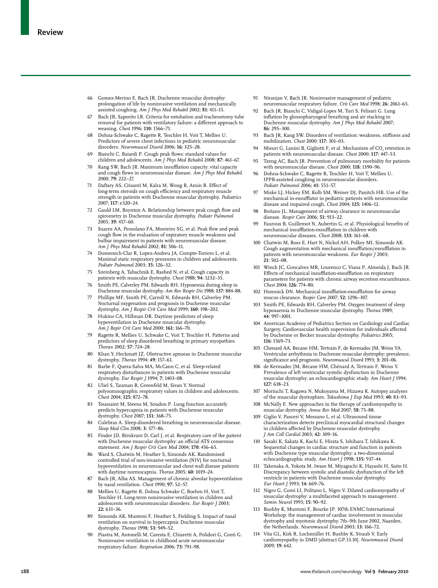- 66 Gomez-Merino E, Bach JR. Duchenne muscular dystrophy: prolongation of life by noninvasive ventilation and mechanically assisted coughing. *Am J Phys Med Rehabil* 2002; **81:** 411–15.
- 67 Bach JR, Saporito LR. Criteria for extubation and tracheostomy tube removal for patients with ventilatory failure: a different approach to weaning. *Chest* 1996; **110:** 1566–71.
- 68 Dohna-Schwake C, Ragette R, Teschler H, Voit T, Mellies U. Predictors of severe chest infections in pediatric neuromuscular disorders. *Neuromuscul Disord* 2006; **16:** 325–28.
- 69 Bianchi C, Baiardi P. Cough peak flows: standard values for children and adolescents. *Am J Phys Med Rehabil* 2008; **87:** 461–67.
- 70 Kang SW, Bach JR. Maximum insufflation capacity: vital capacity and cough flows in neuromuscular disease. Am J Phys Med Rehabil 2000; **79:** 222–27.
- 71 Daftary AS, Crisanti M, Kalra M, Wong B, Amin R. Effect of long-term steroids on cough efficiency and respiratory muscle strength in patients with Duchenne muscular dystrophy. *Pediatrics* 2007; **117:** e320–24.
- 72 Gauld LM, Boynton A. Relationship between peak cough flow and spirometry in Duchenne muscular dystrophy. *Pediatr Pulmonol* 2005; **39:** 457–60.
- 73 Suarez AA, Pessolano FA, Monteiro SG, et al. Peak flow and peak cough flow in the evaluation of expiratory muscle weakness and bulbar impairment in patients with neuromuscular disease. *Am J Phys Med Rehabil* 2002; **81:** 506–11.
- 74 Domenech-Clar R, Lopez-Andreu JA, Compte-Torrero L, et al. Maximal static respiratory pressures in children and adolescents. *Pediatr Pulmonol* 2003; **35:** 126–32.
- Szeinberg A, Tabachnik E, Rashed N, et al. Cough capacity in patients with muscular dystrophy. *Chest* 1988; **94:** 1232–35.
- 76 Smith PE, Calverley PM, Edwards RH. Hypoxemia during sleep in Duchenne muscular dystrophy. *Am Rev Respir Dis* 1988; **137:** 884–88.
- 77 Phillips MF, Smith PE, Carroll N, Edwards RH, Calverley PM. Nocturnal oxygenation and prognosis in Duchenne muscular dystrophy. *Am J Respir Crit Care Med* 1999; **160:** 198–202.
- Hukins CA, Hillman DR. Daytime predictors of sleep hypoventilation in Duchenne muscular dystrophy. *Am J Repir Crit Care Med* 2000; **161:** 166–70.
- Ragette R, Mellies U, Schwake C, Voit T, Teschler H. Patterns and predictors of sleep disordered breathing in primary myopathies. *Thorax* 2002; **57:** 724–28.
- 80 Khan Y, Heckmatt JZ. Obstructive apnoeas in Duchenne muscular dystrophy. *Thorax* 1994; **49:** 157–61.
- 81 Barbe F, Quera-Salva MA, McCann C, et al. Sleep-related respiratory disturbances in patients with Duchenne muscular dystrophy. *Eur Respir J* 1994; **7:** 1403–08.
- 82 Uliel S, Tauman R, Greenfeld M, Sivan Y. Normal polysomnographic respiratory values in children and adolescents. *Chest* 2004; **125:** 872–78.
- 83 Toussaint M, Steens M, Soudon P. Lung function accurately predicts hypercapnia in patients with Duchenne muscular dystrophy. *Chest* 2007; **131:** 368–75.
- 84 Culebras A. Sleep-disordered breathing in neuromuscular disease. *Sleep Med Clin* 2008; **3:** 377–86.
- 85 Finder JD, Birnkrant D, Carl J, et al. Respiratory care of the patient with Duchenne muscular dystrophy: an official ATS consensus statement. *Am J Respir Crit Care Med* 2004; **170:** 456–65.
- 86 Ward S, Chatwin M, Heather S, Simonds AK. Randomised controlled trial of non-invasive ventilation (NIV) for nocturnal hypoventilation in neuromuscular and chest wall disease patients with daytime normocapnia. *Thorax* 2005; **60:** 1019–24.
- 87 Bach JR, Alba AS. Management of chronic alveolar hypoventilation by nasal ventilation. *Chest* 1990; **97:** 52–57.
- 88 Mellies U, Ragette R, Dohna Schwake C, Boehm H, Voit T, Teschler H. Long-term noninvasive ventilation in children and adolescents with neuromuscular disorders. *Eur Respir J* 2003; **22:** 631–36.
- 89 Simonds AK, Muntoni F, Heather S, Fielding S. Impact of nasal ventilation on survival in hypercapnic Duchenne muscular dystrophy. *Thorax* 1998; **53:** 949–52.
- 90 Piastra M, Antonelli M, Caresta E, Chiaretti A, Polidori G, Conti G. Noninvasive ventilation in childhood acute neuromuscular respiratory failure. *Respiration* 2006; **73:** 791–98.
- 91 Niranjan V, Bach JR. Noninvasive management of pediatric neuromuscular respiratory failure. *Crit Care Med* 1998; **26:** 2061–65.
- 92 Bach JR, Bianchi C, Vidigal-Lopes M, Turi S, Felisari G. Lung inflation by glossopharyngeal breathing and air stacking in Duchenne muscular dystrophy. *Am J Phys Med Rehabil* 2007; **86:** 295–300.
- 93 Bach JR, Kang SW. Disorders of ventilation: weakness, stiffness and mobilization. *Chest* 2000; **117:** 301–03.
- 94 Misuri G, Lanini B, Gigliotti F, et al. Mechanism of  $CO<sub>2</sub>$  retention in patients with neuromuscular disease. *Chest* 2000; **117:** 447–53.
- 95 Tzeng AC, Bach JR. Prevention of pulmonary morbidity for patients with neuromuscular disease. *Chest* 2000; **118:** 1390–96.
- 96 Dohna-Schwake C, Ragette R, Teschler H, Voit T, Mellies U. IPPB-assisted coughing in neuromuscular disorders. *Pediatr Pulmonol* 2006; **41:** 551–57.
- 97 Miske LJ, Hickey EM, Kolb SM, Weiner DJ, Panitch HB. Use of the mechanical in-exsufflator in pediatric patients with neuromuscular disease and impaired cough. *Chest* 2004; **125:** 1406–12.
- Boitano JL. Management of airway clearance in neuromuscular disease. *Respir Care* 2006; **51:** 913–22.
- 99 Fauroux B, Guillemot N, Aubertin G, et al. Physiological benefits of mechanical insufflation-exsufflation in children with neuromuscular diseases. *Chest* 2008; **133:** 161–68.
- 100 Chatwin M, Ross E, Hart N, Nickol AH, Polkey MI, Simonds AK. Cough augmentation with mechanical insufflation/exsufflation in patients with neuromuscular weakness. *Eur Respir J* 2003; **21:** 502–08.
- 101 Winck JC, Goncalves MR, Lourenco C, Viana P, Almeida J, Bach JR. Effects of mechanical insufflation-exsufflation on respiratory parameters for patients with chronic airway secretion encumbrance. *Chest* 2004; **126:** 774–80.
- 102 Homnick DN. Mechanical insufflation-exsufflation for airway mucus clearance. *Respir Care* 2007; **52:** 1296–307.
- 103 Smith PE, Edwards RH, Calverley PM. Oxygen treatment of sleep hypoxaemia in Duchenne muscular dystrophy. *Thorax* 1989; **44:** 997–1001.
- 104 American Academy of Pediatrics Section on Cardiology and Cardiac Surgery. Cardiovascular health supervision for individuals affected by Duchenne or Becker muscular dystrophy. *Pediatrics* 2005; **116:** 1569–73.
- 105 Chenard AA, Becane HM, Tertrain F, de Kermadec JM, Weiss YA. Ventricular arrhythmia in Duchenne muscular dystrophy: prevalence, significance and prognosis. *Neuromuscul Disord* 1993; 3: 201-06.
- de Kermadec JM, Bécane HM, Chénard A, Tertrain F, Weiss Y. Prevalence of left ventricular systolic dysfunction in Duchenne muscular dystrophy: an echocardiographic study. *Am Heart J* 1994; **127:** 618–23.
- 107 Moriuchi T, Kagawa N, Mukoyama M, Hizawa K. Autopsy analyses of the muscular dystrophies. *Tokushima J Exp Med* 1993; **40:** 83–93.
- 108 McNally E. New approaches in the therapy of cardiomyopathy in muscular dystrophy. *Annu Rev Med* 2007; **58:** 75–88.
- 109 Giglio V, Pasceri V, Messano L, et al. Ultrasound tissue characterization detects preclinical myocardial structural changes in children affected by Duchenne muscular dystrophy. *J Am Coll Cardiol* 2003; **42:** 309–16.
- 110 Sasaki K, Sakata K, Kachi E, Hirata S, Ishihara T, Ishikawa K. Sequential changes in cardiac structure and function in patients with Duchenne type muscular dystrophy: a two-dimensional echocardiographic study. *Am Heart J* 1998; **135:** 937–44.
- Takenaka A, Yokota M, Iwase M, Miyaguchi K, Hayashi H, Saito H. Discrepancy between systolic and diastolic dysfunction of the left ventricle in patients with Duchenne muscular dystrophy. *Eur Heart J* 1993; **14:** 669–76.
- 112 Nigro G, Comi LI, Politano L, Nigro V. Dilated cardiomyopathy of muscular dystrophy: a multifaceted approach to management. *Semin Neurol* 1995; **15:** 90–92.
- Bushby K, Muntoni F, Bourke JP. 107th ENMC International Workshop: the management of cardiac involvement in muscular dystrophy and myotonic dystrophy. 7th–9th June 2002, Naarden, the Netherlands. *Neuromuscul Disord* 2003; **13:** 166–72.
- 114 Vita GL, Kirk R, Lochmüller H, Bushby K, Straub V. Early cardiomyopathy in DMD [abstract GP.13.10]. *Neuromuscul Disord*  2009; **19:** 642.